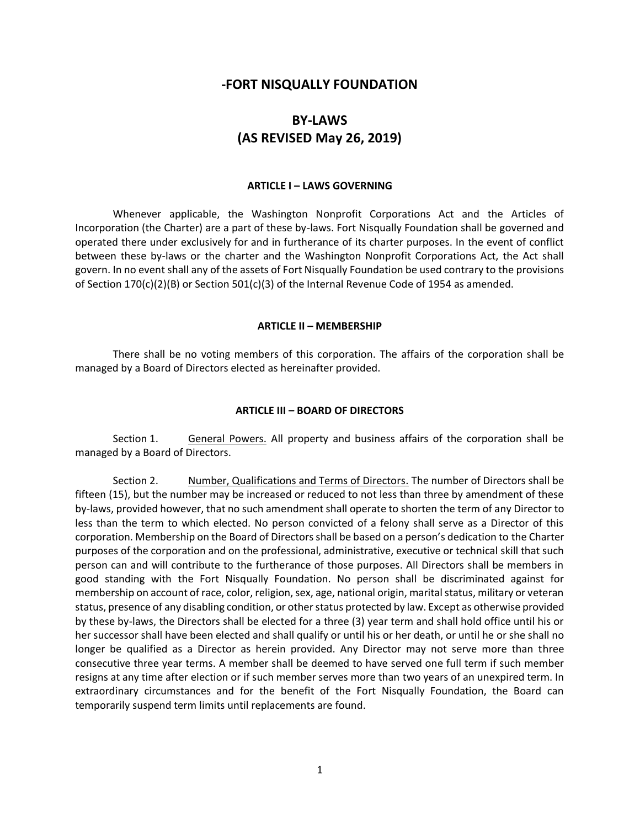# **-FORT NISQUALLY FOUNDATION**

# **BY-LAWS (AS REVISED May 26, 2019)**

### **ARTICLE I – LAWS GOVERNING**

Whenever applicable, the Washington Nonprofit Corporations Act and the Articles of Incorporation (the Charter) are a part of these by-laws. Fort Nisqually Foundation shall be governed and operated there under exclusively for and in furtherance of its charter purposes. In the event of conflict between these by-laws or the charter and the Washington Nonprofit Corporations Act, the Act shall govern. In no event shall any of the assets of Fort Nisqually Foundation be used contrary to the provisions of Section 170(c)(2)(B) or Section 501(c)(3) of the Internal Revenue Code of 1954 as amended.

### **ARTICLE II – MEMBERSHIP**

There shall be no voting members of this corporation. The affairs of the corporation shall be managed by a Board of Directors elected as hereinafter provided.

#### **ARTICLE III – BOARD OF DIRECTORS**

Section 1. General Powers. All property and business affairs of the corporation shall be managed by a Board of Directors.

Section 2. Number, Qualifications and Terms of Directors. The number of Directors shall be fifteen (15), but the number may be increased or reduced to not less than three by amendment of these by-laws, provided however, that no such amendment shall operate to shorten the term of any Director to less than the term to which elected. No person convicted of a felony shall serve as a Director of this corporation. Membership on the Board of Directors shall be based on a person's dedication to the Charter purposes of the corporation and on the professional, administrative, executive or technical skill that such person can and will contribute to the furtherance of those purposes. All Directors shall be members in good standing with the Fort Nisqually Foundation. No person shall be discriminated against for membership on account of race, color, religion, sex, age, national origin, marital status, military or veteran status, presence of any disabling condition, or other status protected by law. Except as otherwise provided by these by-laws, the Directors shall be elected for a three (3) year term and shall hold office until his or her successor shall have been elected and shall qualify or until his or her death, or until he or she shall no longer be qualified as a Director as herein provided. Any Director may not serve more than three consecutive three year terms. A member shall be deemed to have served one full term if such member resigns at any time after election or if such member serves more than two years of an unexpired term. In extraordinary circumstances and for the benefit of the Fort Nisqually Foundation, the Board can temporarily suspend term limits until replacements are found.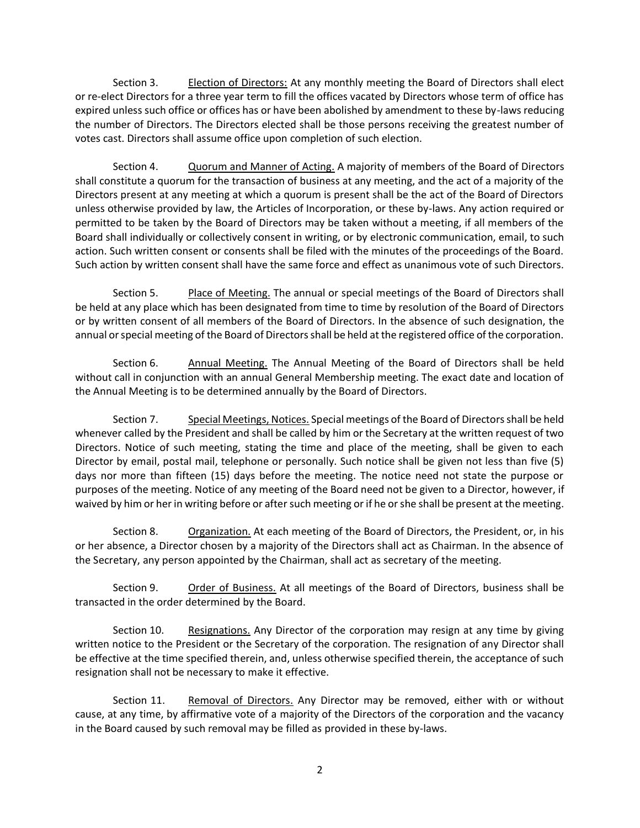Section 3. Election of Directors: At any monthly meeting the Board of Directors shall elect or re-elect Directors for a three year term to fill the offices vacated by Directors whose term of office has expired unless such office or offices has or have been abolished by amendment to these by-laws reducing the number of Directors. The Directors elected shall be those persons receiving the greatest number of votes cast. Directors shall assume office upon completion of such election.

Section 4. Quorum and Manner of Acting. A majority of members of the Board of Directors shall constitute a quorum for the transaction of business at any meeting, and the act of a majority of the Directors present at any meeting at which a quorum is present shall be the act of the Board of Directors unless otherwise provided by law, the Articles of Incorporation, or these by-laws. Any action required or permitted to be taken by the Board of Directors may be taken without a meeting, if all members of the Board shall individually or collectively consent in writing, or by electronic communication, email, to such action. Such written consent or consents shall be filed with the minutes of the proceedings of the Board. Such action by written consent shall have the same force and effect as unanimous vote of such Directors.

Section 5. Place of Meeting. The annual or special meetings of the Board of Directors shall be held at any place which has been designated from time to time by resolution of the Board of Directors or by written consent of all members of the Board of Directors. In the absence of such designation, the annual or special meeting of the Board of Directors shall be held at the registered office of the corporation.

Section 6. Annual Meeting. The Annual Meeting of the Board of Directors shall be held without call in conjunction with an annual General Membership meeting. The exact date and location of the Annual Meeting is to be determined annually by the Board of Directors.

Section 7. Special Meetings, Notices. Special meetings of the Board of Directors shall be held whenever called by the President and shall be called by him or the Secretary at the written request of two Directors. Notice of such meeting, stating the time and place of the meeting, shall be given to each Director by email, postal mail, telephone or personally. Such notice shall be given not less than five (5) days nor more than fifteen (15) days before the meeting. The notice need not state the purpose or purposes of the meeting. Notice of any meeting of the Board need not be given to a Director, however, if waived by him or her in writing before or after such meeting or if he or she shall be present at the meeting.

Section 8. Organization. At each meeting of the Board of Directors, the President, or, in his or her absence, a Director chosen by a majority of the Directors shall act as Chairman. In the absence of the Secretary, any person appointed by the Chairman, shall act as secretary of the meeting.

Section 9. Order of Business. At all meetings of the Board of Directors, business shall be transacted in the order determined by the Board.

Section 10. Resignations. Any Director of the corporation may resign at any time by giving written notice to the President or the Secretary of the corporation. The resignation of any Director shall be effective at the time specified therein, and, unless otherwise specified therein, the acceptance of such resignation shall not be necessary to make it effective.

Section 11. Removal of Directors. Any Director may be removed, either with or without cause, at any time, by affirmative vote of a majority of the Directors of the corporation and the vacancy in the Board caused by such removal may be filled as provided in these by-laws.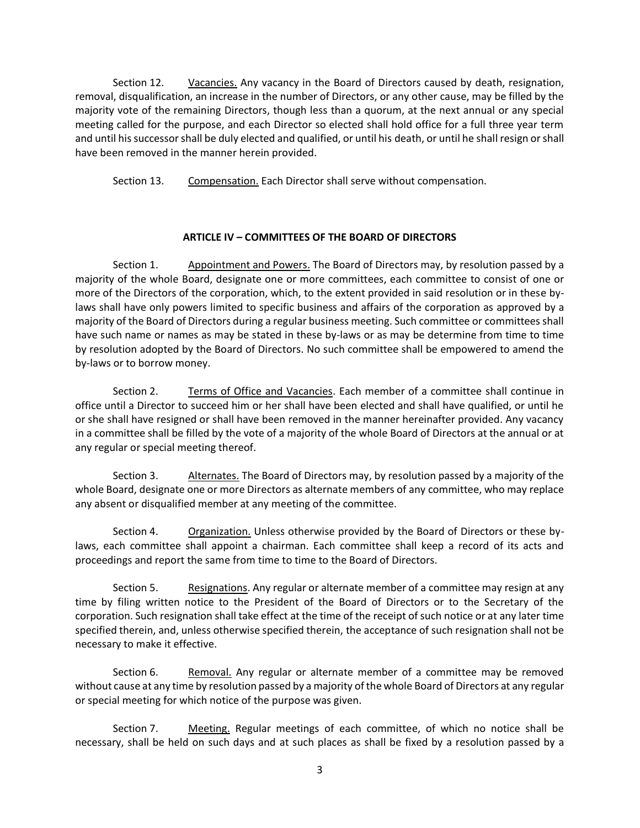Section 12. Vacancies. Any vacancy in the Board of Directors caused by death, resignation, removal, disqualification, an increase in the number of Directors, or any other cause, may be filled by the majority vote of the remaining Directors, though less than a quorum, at the next annual or any special meeting called for the purpose, and each Director so elected shall hold office for a full three year term and until his successor shall be duly elected and qualified, or until his death, or until he shall resign or shall have been removed in the manner herein provided.

Section 13. Compensation. Each Director shall serve without compensation.

# **ARTICLE IV – COMMITTEES OF THE BOARD OF DIRECTORS**

Section 1. Appointment and Powers. The Board of Directors may, by resolution passed by a majority of the whole Board, designate one or more committees, each committee to consist of one or more of the Directors of the corporation, which, to the extent provided in said resolution or in these bylaws shall have only powers limited to specific business and affairs of the corporation as approved by a majority of the Board of Directors during a regular business meeting. Such committee or committees shall have such name or names as may be stated in these by-laws or as may be determine from time to time by resolution adopted by the Board of Directors. No such committee shall be empowered to amend the by-laws or to borrow money.

Section 2. Terms of Office and Vacancies. Each member of a committee shall continue in office until a Director to succeed him or her shall have been elected and shall have qualified, or until he or she shall have resigned or shall have been removed in the manner hereinafter provided. Any vacancy in a committee shall be filled by the vote of a majority of the whole Board of Directors at the annual or at any regular or special meeting thereof.

Section 3. Alternates. The Board of Directors may, by resolution passed by a majority of the whole Board, designate one or more Directors as alternate members of any committee, who may replace any absent or disqualified member at any meeting of the committee.

Section 4. Organization. Unless otherwise provided by the Board of Directors or these bylaws, each committee shall appoint a chairman. Each committee shall keep a record of its acts and proceedings and report the same from time to time to the Board of Directors.

Section 5. Resignations. Any regular or alternate member of a committee may resign at any time by filing written notice to the President of the Board of Directors or to the Secretary of the corporation. Such resignation shall take effect at the time of the receipt of such notice or at any later time specified therein, and, unless otherwise specified therein, the acceptance of such resignation shall not be necessary to make it effective.

Section 6. Removal. Any regular or alternate member of a committee may be removed without cause at any time by resolution passed by a majority of the whole Board of Directors at any regular or special meeting for which notice of the purpose was given.

Section 7. Meeting. Regular meetings of each committee, of which no notice shall be necessary, shall be held on such days and at such places as shall be fixed by a resolution passed by a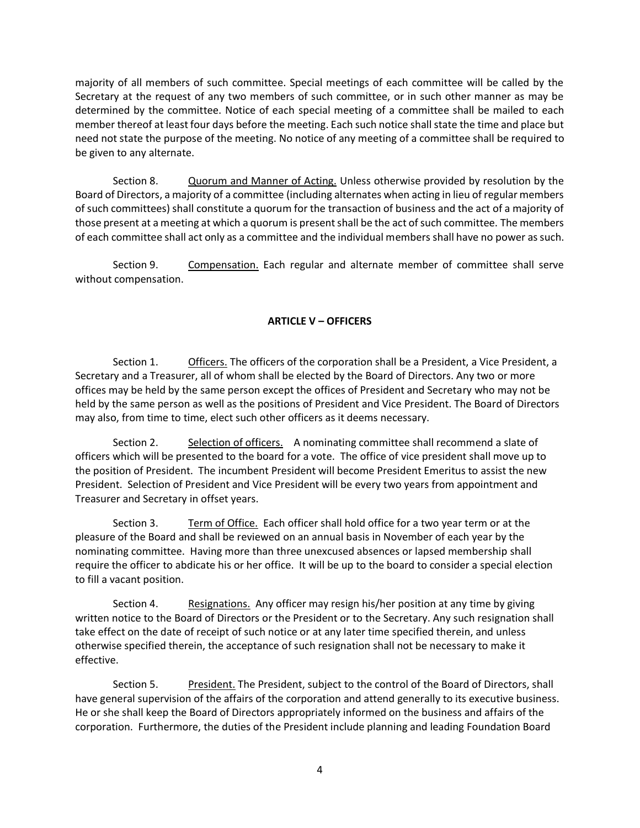majority of all members of such committee. Special meetings of each committee will be called by the Secretary at the request of any two members of such committee, or in such other manner as may be determined by the committee. Notice of each special meeting of a committee shall be mailed to each member thereof at least four days before the meeting. Each such notice shall state the time and place but need not state the purpose of the meeting. No notice of any meeting of a committee shall be required to be given to any alternate.

Section 8. Quorum and Manner of Acting. Unless otherwise provided by resolution by the Board of Directors, a majority of a committee (including alternates when acting in lieu of regular members of such committees) shall constitute a quorum for the transaction of business and the act of a majority of those present at a meeting at which a quorum is present shall be the act of such committee. The members of each committee shall act only as a committee and the individual members shall have no power as such.

Section 9. Compensation. Each regular and alternate member of committee shall serve without compensation.

# **ARTICLE V – OFFICERS**

Section 1. Officers. The officers of the corporation shall be a President, a Vice President, a Secretary and a Treasurer, all of whom shall be elected by the Board of Directors. Any two or more offices may be held by the same person except the offices of President and Secretary who may not be held by the same person as well as the positions of President and Vice President. The Board of Directors may also, from time to time, elect such other officers as it deems necessary.

Section 2. Selection of officers. A nominating committee shall recommend a slate of officers which will be presented to the board for a vote. The office of vice president shall move up to the position of President. The incumbent President will become President Emeritus to assist the new President. Selection of President and Vice President will be every two years from appointment and Treasurer and Secretary in offset years.

Section 3. Term of Office. Each officer shall hold office for a two year term or at the pleasure of the Board and shall be reviewed on an annual basis in November of each year by the nominating committee. Having more than three unexcused absences or lapsed membership shall require the officer to abdicate his or her office. It will be up to the board to consider a special election to fill a vacant position.

Section 4. Resignations. Any officer may resign his/her position at any time by giving written notice to the Board of Directors or the President or to the Secretary. Any such resignation shall take effect on the date of receipt of such notice or at any later time specified therein, and unless otherwise specified therein, the acceptance of such resignation shall not be necessary to make it effective.

Section 5. President. The President, subject to the control of the Board of Directors, shall have general supervision of the affairs of the corporation and attend generally to its executive business. He or she shall keep the Board of Directors appropriately informed on the business and affairs of the corporation. Furthermore, the duties of the President include planning and leading Foundation Board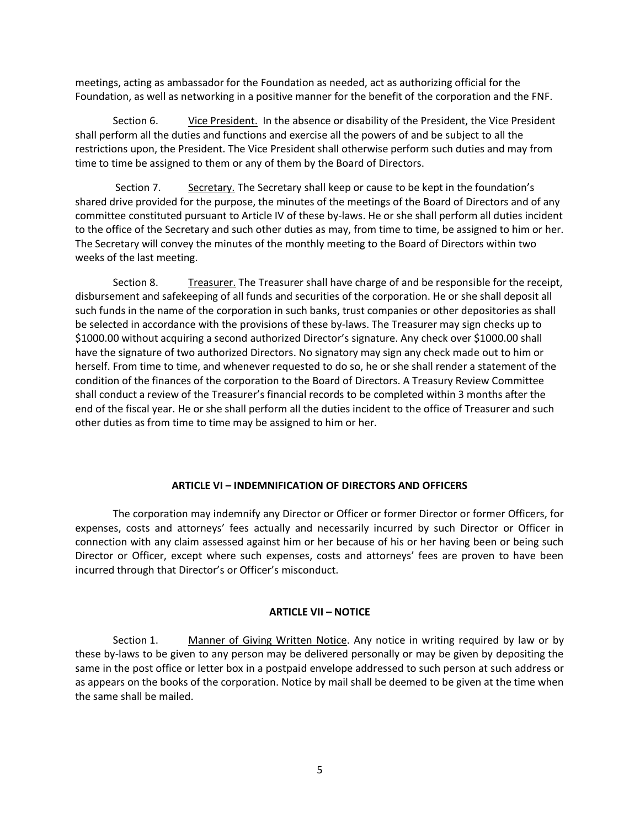meetings, acting as ambassador for the Foundation as needed, act as authorizing official for the Foundation, as well as networking in a positive manner for the benefit of the corporation and the FNF.

Section 6. Vice President. In the absence or disability of the President, the Vice President shall perform all the duties and functions and exercise all the powers of and be subject to all the restrictions upon, the President. The Vice President shall otherwise perform such duties and may from time to time be assigned to them or any of them by the Board of Directors.

Section 7. Secretary. The Secretary shall keep or cause to be kept in the foundation's shared drive provided for the purpose, the minutes of the meetings of the Board of Directors and of any committee constituted pursuant to Article IV of these by‐laws. He or she shall perform all duties incident to the office of the Secretary and such other duties as may, from time to time, be assigned to him or her. The Secretary will convey the minutes of the monthly meeting to the Board of Directors within two weeks of the last meeting.

 Section 8. Treasurer. The Treasurer shall have charge of and be responsible for the receipt, disbursement and safekeeping of all funds and securities of the corporation. He or she shall deposit all such funds in the name of the corporation in such banks, trust companies or other depositories as shall be selected in accordance with the provisions of these by-laws. The Treasurer may sign checks up to \$1000.00 without acquiring a second authorized Director's signature. Any check over \$1000.00 shall have the signature of two authorized Directors. No signatory may sign any check made out to him or herself. From time to time, and whenever requested to do so, he or she shall render a statement of the condition of the finances of the corporation to the Board of Directors. A Treasury Review Committee shall conduct a review of the Treasurer's financial records to be completed within 3 months after the end of the fiscal year. He or she shall perform all the duties incident to the office of Treasurer and such other duties as from time to time may be assigned to him or her.

# **ARTICLE VI – INDEMNIFICATION OF DIRECTORS AND OFFICERS**

The corporation may indemnify any Director or Officer or former Director or former Officers, for expenses, costs and attorneys' fees actually and necessarily incurred by such Director or Officer in connection with any claim assessed against him or her because of his or her having been or being such Director or Officer, except where such expenses, costs and attorneys' fees are proven to have been incurred through that Director's or Officer's misconduct.

# **ARTICLE VII – NOTICE**

Section 1. Manner of Giving Written Notice. Any notice in writing required by law or by these by-laws to be given to any person may be delivered personally or may be given by depositing the same in the post office or letter box in a postpaid envelope addressed to such person at such address or as appears on the books of the corporation. Notice by mail shall be deemed to be given at the time when the same shall be mailed.